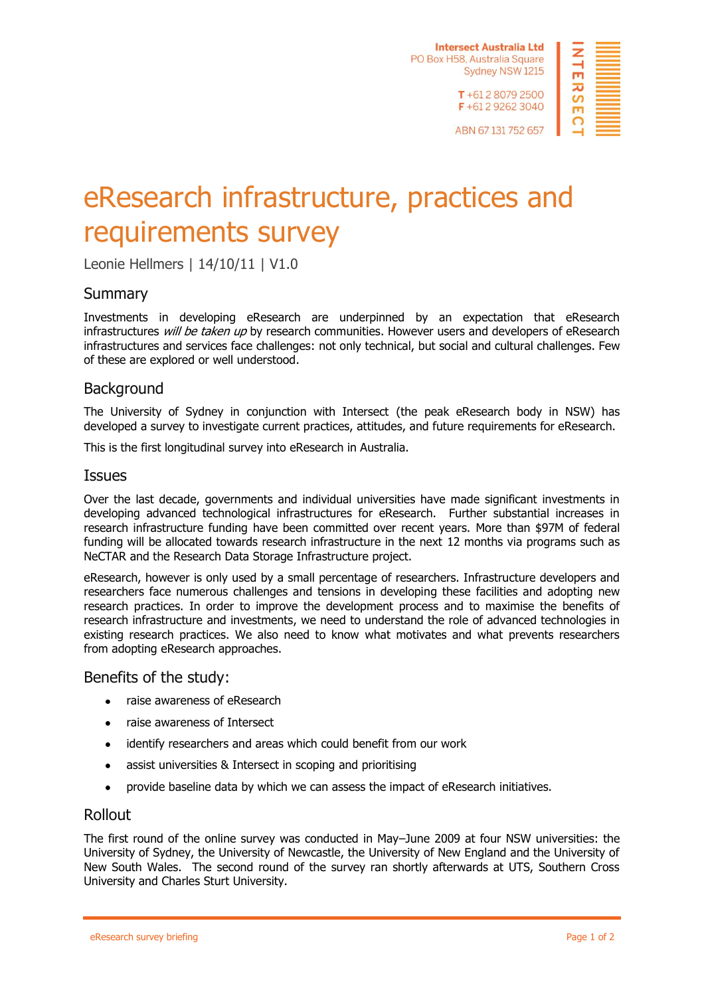**Intersect Australia Ltd** PO Box H58, Australia Square Sydney NSW 1215 T+61280792500



ABN 67 131 752 657

F+61292623040

# [eResearch infrastructure, practices and](http://www.surveymonkey.net/MySurvey_SettingsTitle.aspx?sm=CWz4P49FaYtFqJY%2bv8wJOpcJM75T7c1sjYGqNa5wEl8%3d&TB_iframe=true&height=200&width=400)  [requirements](http://www.surveymonkey.net/MySurvey_SettingsTitle.aspx?sm=CWz4P49FaYtFqJY%2bv8wJOpcJM75T7c1sjYGqNa5wEl8%3d&TB_iframe=true&height=200&width=400) survey

Leonie Hellmers | 14/10/11 | V1.0

## **Summary**

Investments in developing eResearch are underpinned by an expectation that eResearch infrastructures *will be taken up* by research communities. However users and developers of eResearch infrastructures and services face challenges: not only technical, but social and cultural challenges. Few of these are explored or well understood.

## Background

The University of Sydney in conjunction with Intersect (the peak eResearch body in NSW) has developed a survey to investigate current practices, attitudes, and future requirements for eResearch.

This is the first longitudinal survey into eResearch in Australia.

#### **Issues**

Over the last decade, governments and individual universities have made significant investments in developing advanced technological infrastructures for eResearch. Further substantial increases in research infrastructure funding have been committed over recent years. More than \$97M of federal funding will be allocated towards research infrastructure in the next 12 months via programs such as NeCTAR and the Research Data Storage Infrastructure project.

eResearch, however is only used by a small percentage of researchers. Infrastructure developers and researchers face numerous challenges and tensions in developing these facilities and adopting new research practices. In order to improve the development process and to maximise the benefits of research infrastructure and investments, we need to understand the role of advanced technologies in existing research practices. We also need to know what motivates and what prevents researchers from adopting eResearch approaches.

#### Benefits of the study:

- raise awareness of eResearch  $\bullet$
- raise awareness of Intersect  $\bullet$
- identify researchers and areas which could benefit from our work  $\bullet$
- $\bullet$ assist universities & Intersect in scoping and prioritising
- provide baseline data by which we can assess the impact of eResearch initiatives.  $\bullet$

#### Rollout

The first round of the online survey was conducted in May–June 2009 at four NSW universities: the University of Sydney, the University of Newcastle, the University of New England and the University of New South Wales. The second round of the survey ran shortly afterwards at UTS, Southern Cross University and Charles Sturt University.